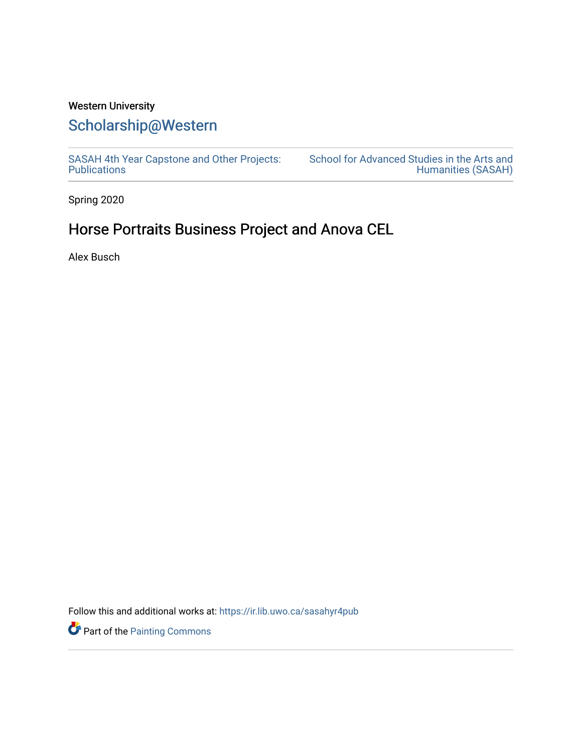### Western University

## [Scholarship@Western](https://ir.lib.uwo.ca/)

[SASAH 4th Year Capstone and Other Projects:](https://ir.lib.uwo.ca/sasahyr4pub)  **Publications** 

[School for Advanced Studies in the Arts and](https://ir.lib.uwo.ca/sasah)  [Humanities \(SASAH\)](https://ir.lib.uwo.ca/sasah) 

Spring 2020

# Horse Portraits Business Project and Anova CEL

Alex Busch

Follow this and additional works at: [https://ir.lib.uwo.ca/sasahyr4pub](https://ir.lib.uwo.ca/sasahyr4pub?utm_source=ir.lib.uwo.ca%2Fsasahyr4pub%2F8&utm_medium=PDF&utm_campaign=PDFCoverPages) 

**P** Part of the [Painting Commons](http://network.bepress.com/hgg/discipline/1339?utm_source=ir.lib.uwo.ca%2Fsasahyr4pub%2F8&utm_medium=PDF&utm_campaign=PDFCoverPages)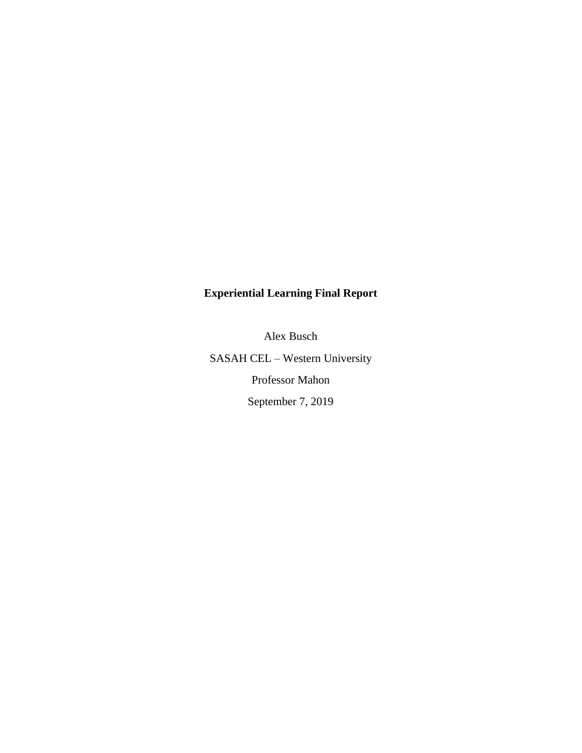### **Experiential Learning Final Report**

Alex Busch

SASAH CEL – Western University Professor Mahon September 7, 2019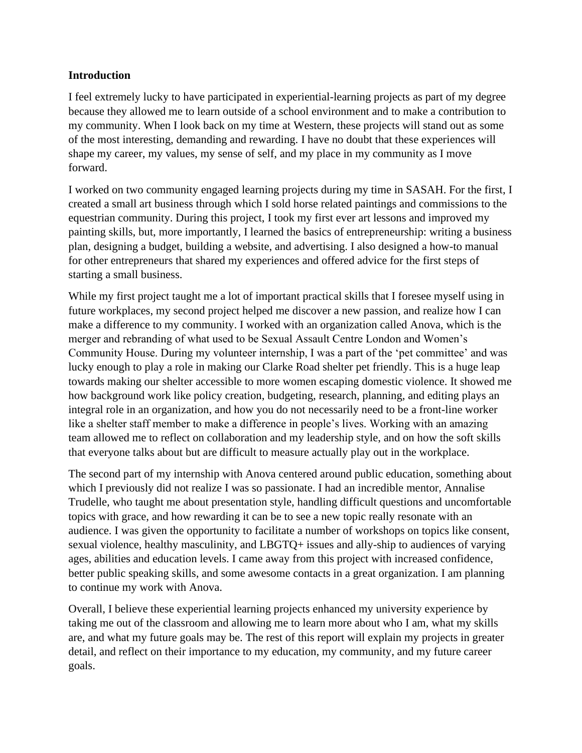#### **Introduction**

I feel extremely lucky to have participated in experiential-learning projects as part of my degree because they allowed me to learn outside of a school environment and to make a contribution to my community. When I look back on my time at Western, these projects will stand out as some of the most interesting, demanding and rewarding. I have no doubt that these experiences will shape my career, my values, my sense of self, and my place in my community as I move forward.

I worked on two community engaged learning projects during my time in SASAH. For the first, I created a small art business through which I sold horse related paintings and commissions to the equestrian community. During this project, I took my first ever art lessons and improved my painting skills, but, more importantly, I learned the basics of entrepreneurship: writing a business plan, designing a budget, building a website, and advertising. I also designed a how-to manual for other entrepreneurs that shared my experiences and offered advice for the first steps of starting a small business.

While my first project taught me a lot of important practical skills that I foresee myself using in future workplaces, my second project helped me discover a new passion, and realize how I can make a difference to my community. I worked with an organization called Anova, which is the merger and rebranding of what used to be Sexual Assault Centre London and Women's Community House. During my volunteer internship, I was a part of the 'pet committee' and was lucky enough to play a role in making our Clarke Road shelter pet friendly. This is a huge leap towards making our shelter accessible to more women escaping domestic violence. It showed me how background work like policy creation, budgeting, research, planning, and editing plays an integral role in an organization, and how you do not necessarily need to be a front-line worker like a shelter staff member to make a difference in people's lives. Working with an amazing team allowed me to reflect on collaboration and my leadership style, and on how the soft skills that everyone talks about but are difficult to measure actually play out in the workplace.

The second part of my internship with Anova centered around public education, something about which I previously did not realize I was so passionate. I had an incredible mentor, Annalise Trudelle, who taught me about presentation style, handling difficult questions and uncomfortable topics with grace, and how rewarding it can be to see a new topic really resonate with an audience. I was given the opportunity to facilitate a number of workshops on topics like consent, sexual violence, healthy masculinity, and LBGTQ+ issues and ally-ship to audiences of varying ages, abilities and education levels. I came away from this project with increased confidence, better public speaking skills, and some awesome contacts in a great organization. I am planning to continue my work with Anova.

Overall, I believe these experiential learning projects enhanced my university experience by taking me out of the classroom and allowing me to learn more about who I am, what my skills are, and what my future goals may be. The rest of this report will explain my projects in greater detail, and reflect on their importance to my education, my community, and my future career goals.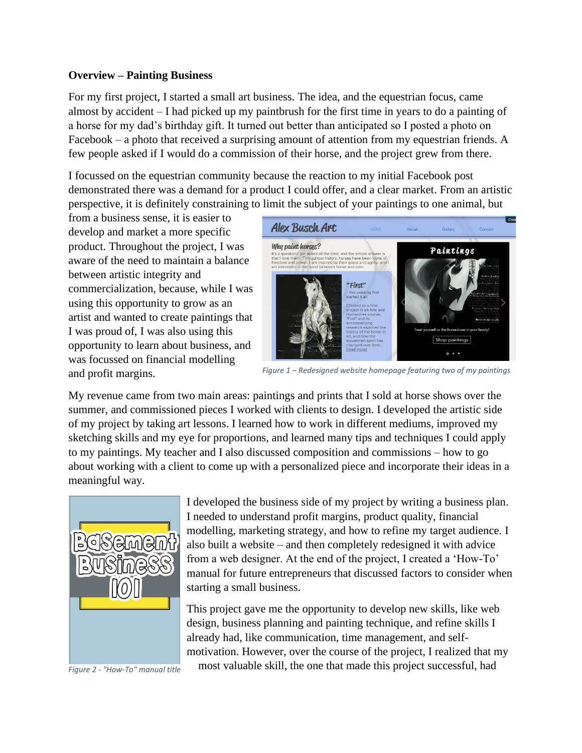#### **Overview – Painting Business**

For my first project, I started a small art business. The idea, and the equestrian focus, came almost by accident – I had picked up my paintbrush for the first time in years to do a painting of a horse for my dad's birthday gift. It turned out better than anticipated so I posted a photo on Facebook – a photo that received a surprising amount of attention from my equestrian friends. A few people asked if I would do a commission of their horse, and the project grew from there.

I focussed on the equestrian community because the reaction to my initial Facebook post demonstrated there was a demand for a product I could offer, and a clear market. From an artistic perspective, it is definitely constraining to limit the subject of your paintings to one animal, but

from a business sense, it is easier to develop and market a more specific product. Throughout the project, I was aware of the need to maintain a balance between artistic integrity and commercialization, because, while I was using this opportunity to grow as an artist and wanted to create paintings that I was proud of, I was also using this opportunity to learn about business, and was focussed on financial modelling and profit margins.



*Figure 1 – Redesigned website homepage featuring two of my paintings*

My revenue came from two main areas: paintings and prints that I sold at horse shows over the summer, and commissioned pieces I worked with clients to design. I developed the artistic side of my project by taking art lessons. I learned how to work in different mediums, improved my sketching skills and my eye for proportions, and learned many tips and techniques I could apply to my paintings. My teacher and I also discussed composition and commissions – how to go about working with a client to come up with a personalized piece and incorporate their ideas in a meaningful way.



*Figure 2 - "How-To" manual title*

I developed the business side of my project by writing a business plan. I needed to understand profit margins, product quality, financial modelling, marketing strategy, and how to refine my target audience. I also built a website – and then completely redesigned it with advice from a web designer. At the end of the project, I created a 'How-To' manual for future entrepreneurs that discussed factors to consider when starting a small business.

This project gave me the opportunity to develop new skills, like web design, business planning and painting technique, and refine skills I already had, like communication, time management, and selfmotivation. However, over the course of the project, I realized that my most valuable skill, the one that made this project successful, had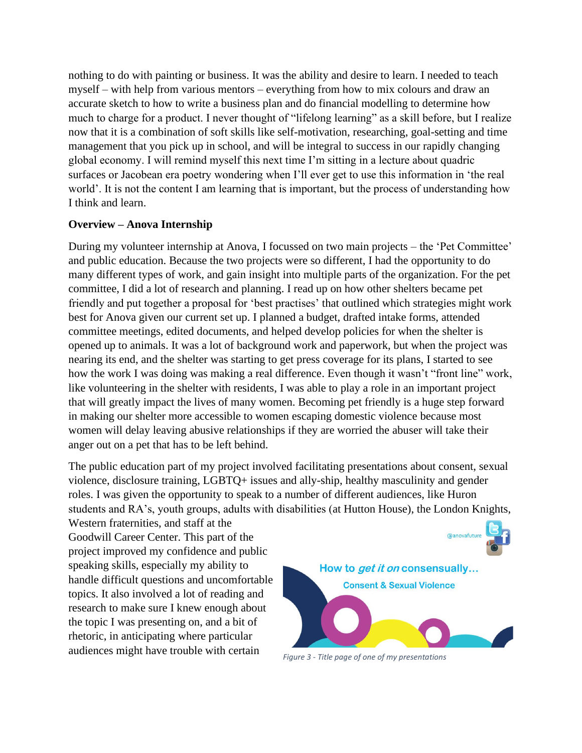nothing to do with painting or business. It was the ability and desire to learn. I needed to teach myself – with help from various mentors – everything from how to mix colours and draw an accurate sketch to how to write a business plan and do financial modelling to determine how much to charge for a product. I never thought of "lifelong learning" as a skill before, but I realize now that it is a combination of soft skills like self-motivation, researching, goal-setting and time management that you pick up in school, and will be integral to success in our rapidly changing global economy. I will remind myself this next time I'm sitting in a lecture about quadric surfaces or Jacobean era poetry wondering when I'll ever get to use this information in 'the real world'. It is not the content I am learning that is important, but the process of understanding how I think and learn.

#### **Overview – Anova Internship**

During my volunteer internship at Anova, I focussed on two main projects – the 'Pet Committee' and public education. Because the two projects were so different, I had the opportunity to do many different types of work, and gain insight into multiple parts of the organization. For the pet committee, I did a lot of research and planning. I read up on how other shelters became pet friendly and put together a proposal for 'best practises' that outlined which strategies might work best for Anova given our current set up. I planned a budget, drafted intake forms, attended committee meetings, edited documents, and helped develop policies for when the shelter is opened up to animals. It was a lot of background work and paperwork, but when the project was nearing its end, and the shelter was starting to get press coverage for its plans, I started to see how the work I was doing was making a real difference. Even though it wasn't "front line" work, like volunteering in the shelter with residents, I was able to play a role in an important project that will greatly impact the lives of many women. Becoming pet friendly is a huge step forward in making our shelter more accessible to women escaping domestic violence because most women will delay leaving abusive relationships if they are worried the abuser will take their anger out on a pet that has to be left behind.

The public education part of my project involved facilitating presentations about consent, sexual violence, disclosure training, LGBTQ+ issues and ally-ship, healthy masculinity and gender roles. I was given the opportunity to speak to a number of different audiences, like Huron students and RA's, youth groups, adults with disabilities (at Hutton House), the London Knights,

Western fraternities, and staff at the Goodwill Career Center. This part of the project improved my confidence and public speaking skills, especially my ability to handle difficult questions and uncomfortable topics. It also involved a lot of reading and research to make sure I knew enough about the topic I was presenting on, and a bit of rhetoric, in anticipating where particular audiences might have trouble with certain



*Figure 3 - Title page of one of my presentations*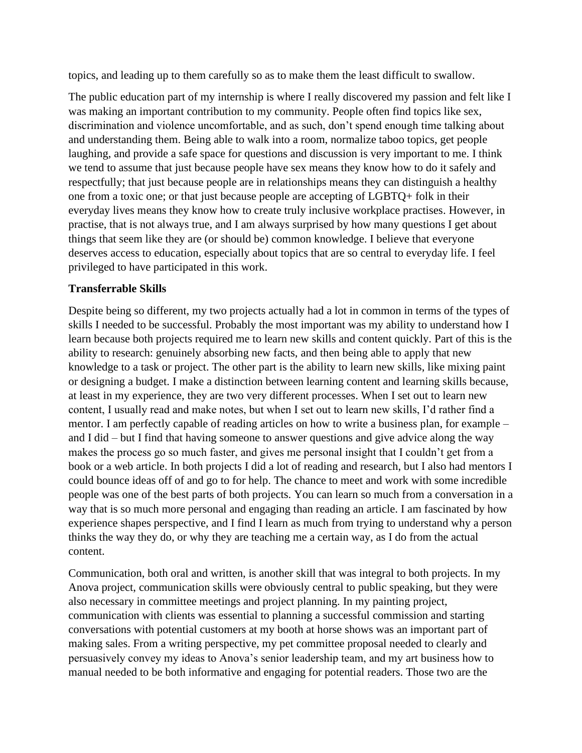topics, and leading up to them carefully so as to make them the least difficult to swallow.

The public education part of my internship is where I really discovered my passion and felt like I was making an important contribution to my community. People often find topics like sex, discrimination and violence uncomfortable, and as such, don't spend enough time talking about and understanding them. Being able to walk into a room, normalize taboo topics, get people laughing, and provide a safe space for questions and discussion is very important to me. I think we tend to assume that just because people have sex means they know how to do it safely and respectfully; that just because people are in relationships means they can distinguish a healthy one from a toxic one; or that just because people are accepting of LGBTQ+ folk in their everyday lives means they know how to create truly inclusive workplace practises. However, in practise, that is not always true, and I am always surprised by how many questions I get about things that seem like they are (or should be) common knowledge. I believe that everyone deserves access to education, especially about topics that are so central to everyday life. I feel privileged to have participated in this work.

#### **Transferrable Skills**

Despite being so different, my two projects actually had a lot in common in terms of the types of skills I needed to be successful. Probably the most important was my ability to understand how I learn because both projects required me to learn new skills and content quickly. Part of this is the ability to research: genuinely absorbing new facts, and then being able to apply that new knowledge to a task or project. The other part is the ability to learn new skills, like mixing paint or designing a budget. I make a distinction between learning content and learning skills because, at least in my experience, they are two very different processes. When I set out to learn new content, I usually read and make notes, but when I set out to learn new skills, I'd rather find a mentor. I am perfectly capable of reading articles on how to write a business plan, for example – and I did – but I find that having someone to answer questions and give advice along the way makes the process go so much faster, and gives me personal insight that I couldn't get from a book or a web article. In both projects I did a lot of reading and research, but I also had mentors I could bounce ideas off of and go to for help. The chance to meet and work with some incredible people was one of the best parts of both projects. You can learn so much from a conversation in a way that is so much more personal and engaging than reading an article. I am fascinated by how experience shapes perspective, and I find I learn as much from trying to understand why a person thinks the way they do, or why they are teaching me a certain way, as I do from the actual content.

Communication, both oral and written, is another skill that was integral to both projects. In my Anova project, communication skills were obviously central to public speaking, but they were also necessary in committee meetings and project planning. In my painting project, communication with clients was essential to planning a successful commission and starting conversations with potential customers at my booth at horse shows was an important part of making sales. From a writing perspective, my pet committee proposal needed to clearly and persuasively convey my ideas to Anova's senior leadership team, and my art business how to manual needed to be both informative and engaging for potential readers. Those two are the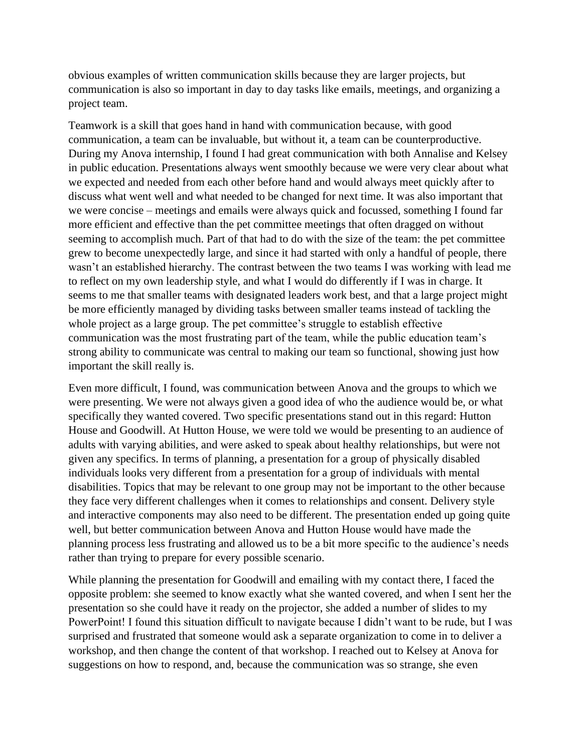obvious examples of written communication skills because they are larger projects, but communication is also so important in day to day tasks like emails, meetings, and organizing a project team.

Teamwork is a skill that goes hand in hand with communication because, with good communication, a team can be invaluable, but without it, a team can be counterproductive. During my Anova internship, I found I had great communication with both Annalise and Kelsey in public education. Presentations always went smoothly because we were very clear about what we expected and needed from each other before hand and would always meet quickly after to discuss what went well and what needed to be changed for next time. It was also important that we were concise – meetings and emails were always quick and focussed, something I found far more efficient and effective than the pet committee meetings that often dragged on without seeming to accomplish much. Part of that had to do with the size of the team: the pet committee grew to become unexpectedly large, and since it had started with only a handful of people, there wasn't an established hierarchy. The contrast between the two teams I was working with lead me to reflect on my own leadership style, and what I would do differently if I was in charge. It seems to me that smaller teams with designated leaders work best, and that a large project might be more efficiently managed by dividing tasks between smaller teams instead of tackling the whole project as a large group. The pet committee's struggle to establish effective communication was the most frustrating part of the team, while the public education team's strong ability to communicate was central to making our team so functional, showing just how important the skill really is.

Even more difficult, I found, was communication between Anova and the groups to which we were presenting. We were not always given a good idea of who the audience would be, or what specifically they wanted covered. Two specific presentations stand out in this regard: Hutton House and Goodwill. At Hutton House, we were told we would be presenting to an audience of adults with varying abilities, and were asked to speak about healthy relationships, but were not given any specifics. In terms of planning, a presentation for a group of physically disabled individuals looks very different from a presentation for a group of individuals with mental disabilities. Topics that may be relevant to one group may not be important to the other because they face very different challenges when it comes to relationships and consent. Delivery style and interactive components may also need to be different. The presentation ended up going quite well, but better communication between Anova and Hutton House would have made the planning process less frustrating and allowed us to be a bit more specific to the audience's needs rather than trying to prepare for every possible scenario.

While planning the presentation for Goodwill and emailing with my contact there, I faced the opposite problem: she seemed to know exactly what she wanted covered, and when I sent her the presentation so she could have it ready on the projector, she added a number of slides to my PowerPoint! I found this situation difficult to navigate because I didn't want to be rude, but I was surprised and frustrated that someone would ask a separate organization to come in to deliver a workshop, and then change the content of that workshop. I reached out to Kelsey at Anova for suggestions on how to respond, and, because the communication was so strange, she even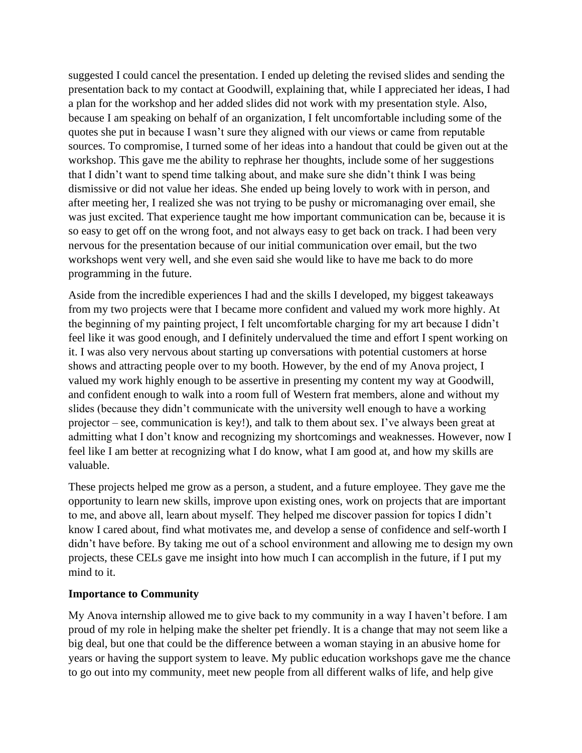suggested I could cancel the presentation. I ended up deleting the revised slides and sending the presentation back to my contact at Goodwill, explaining that, while I appreciated her ideas, I had a plan for the workshop and her added slides did not work with my presentation style. Also, because I am speaking on behalf of an organization, I felt uncomfortable including some of the quotes she put in because I wasn't sure they aligned with our views or came from reputable sources. To compromise, I turned some of her ideas into a handout that could be given out at the workshop. This gave me the ability to rephrase her thoughts, include some of her suggestions that I didn't want to spend time talking about, and make sure she didn't think I was being dismissive or did not value her ideas. She ended up being lovely to work with in person, and after meeting her, I realized she was not trying to be pushy or micromanaging over email, she was just excited. That experience taught me how important communication can be, because it is so easy to get off on the wrong foot, and not always easy to get back on track. I had been very nervous for the presentation because of our initial communication over email, but the two workshops went very well, and she even said she would like to have me back to do more programming in the future.

Aside from the incredible experiences I had and the skills I developed, my biggest takeaways from my two projects were that I became more confident and valued my work more highly. At the beginning of my painting project, I felt uncomfortable charging for my art because I didn't feel like it was good enough, and I definitely undervalued the time and effort I spent working on it. I was also very nervous about starting up conversations with potential customers at horse shows and attracting people over to my booth. However, by the end of my Anova project, I valued my work highly enough to be assertive in presenting my content my way at Goodwill, and confident enough to walk into a room full of Western frat members, alone and without my slides (because they didn't communicate with the university well enough to have a working projector – see, communication is key!), and talk to them about sex. I've always been great at admitting what I don't know and recognizing my shortcomings and weaknesses. However, now I feel like I am better at recognizing what I do know, what I am good at, and how my skills are valuable.

These projects helped me grow as a person, a student, and a future employee. They gave me the opportunity to learn new skills, improve upon existing ones, work on projects that are important to me, and above all, learn about myself. They helped me discover passion for topics I didn't know I cared about, find what motivates me, and develop a sense of confidence and self-worth I didn't have before. By taking me out of a school environment and allowing me to design my own projects, these CELs gave me insight into how much I can accomplish in the future, if I put my mind to it.

#### **Importance to Community**

My Anova internship allowed me to give back to my community in a way I haven't before. I am proud of my role in helping make the shelter pet friendly. It is a change that may not seem like a big deal, but one that could be the difference between a woman staying in an abusive home for years or having the support system to leave. My public education workshops gave me the chance to go out into my community, meet new people from all different walks of life, and help give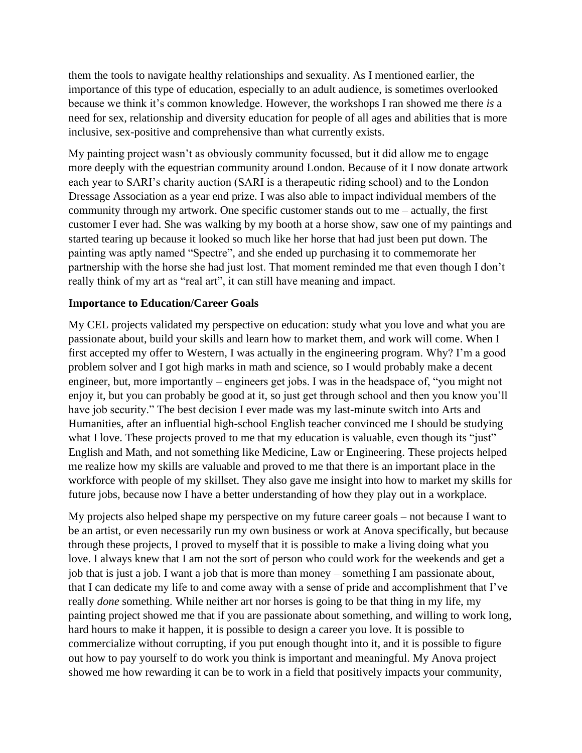them the tools to navigate healthy relationships and sexuality. As I mentioned earlier, the importance of this type of education, especially to an adult audience, is sometimes overlooked because we think it's common knowledge. However, the workshops I ran showed me there *is* a need for sex, relationship and diversity education for people of all ages and abilities that is more inclusive, sex-positive and comprehensive than what currently exists.

My painting project wasn't as obviously community focussed, but it did allow me to engage more deeply with the equestrian community around London. Because of it I now donate artwork each year to SARI's charity auction (SARI is a therapeutic riding school) and to the London Dressage Association as a year end prize. I was also able to impact individual members of the community through my artwork. One specific customer stands out to me – actually, the first customer I ever had. She was walking by my booth at a horse show, saw one of my paintings and started tearing up because it looked so much like her horse that had just been put down. The painting was aptly named "Spectre", and she ended up purchasing it to commemorate her partnership with the horse she had just lost. That moment reminded me that even though I don't really think of my art as "real art", it can still have meaning and impact.

#### **Importance to Education/Career Goals**

My CEL projects validated my perspective on education: study what you love and what you are passionate about, build your skills and learn how to market them, and work will come. When I first accepted my offer to Western, I was actually in the engineering program. Why? I'm a good problem solver and I got high marks in math and science, so I would probably make a decent engineer, but, more importantly – engineers get jobs. I was in the headspace of, "you might not enjoy it, but you can probably be good at it, so just get through school and then you know you'll have job security." The best decision I ever made was my last-minute switch into Arts and Humanities, after an influential high-school English teacher convinced me I should be studying what I love. These projects proved to me that my education is valuable, even though its "just" English and Math, and not something like Medicine, Law or Engineering. These projects helped me realize how my skills are valuable and proved to me that there is an important place in the workforce with people of my skillset. They also gave me insight into how to market my skills for future jobs, because now I have a better understanding of how they play out in a workplace.

My projects also helped shape my perspective on my future career goals – not because I want to be an artist, or even necessarily run my own business or work at Anova specifically, but because through these projects, I proved to myself that it is possible to make a living doing what you love. I always knew that I am not the sort of person who could work for the weekends and get a job that is just a job. I want a job that is more than money – something I am passionate about, that I can dedicate my life to and come away with a sense of pride and accomplishment that I've really *done* something. While neither art nor horses is going to be that thing in my life, my painting project showed me that if you are passionate about something, and willing to work long, hard hours to make it happen, it is possible to design a career you love. It is possible to commercialize without corrupting, if you put enough thought into it, and it is possible to figure out how to pay yourself to do work you think is important and meaningful. My Anova project showed me how rewarding it can be to work in a field that positively impacts your community,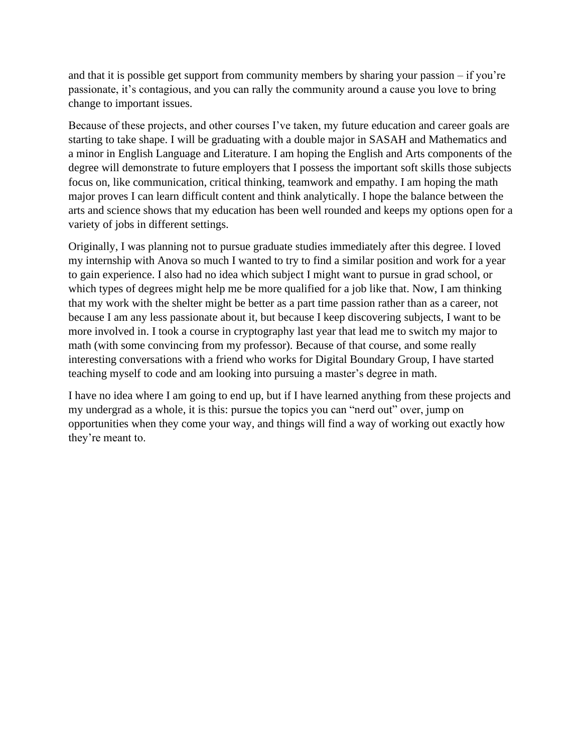and that it is possible get support from community members by sharing your passion – if you're passionate, it's contagious, and you can rally the community around a cause you love to bring change to important issues.

Because of these projects, and other courses I've taken, my future education and career goals are starting to take shape. I will be graduating with a double major in SASAH and Mathematics and a minor in English Language and Literature. I am hoping the English and Arts components of the degree will demonstrate to future employers that I possess the important soft skills those subjects focus on, like communication, critical thinking, teamwork and empathy. I am hoping the math major proves I can learn difficult content and think analytically. I hope the balance between the arts and science shows that my education has been well rounded and keeps my options open for a variety of jobs in different settings.

Originally, I was planning not to pursue graduate studies immediately after this degree. I loved my internship with Anova so much I wanted to try to find a similar position and work for a year to gain experience. I also had no idea which subject I might want to pursue in grad school, or which types of degrees might help me be more qualified for a job like that. Now, I am thinking that my work with the shelter might be better as a part time passion rather than as a career, not because I am any less passionate about it, but because I keep discovering subjects, I want to be more involved in. I took a course in cryptography last year that lead me to switch my major to math (with some convincing from my professor). Because of that course, and some really interesting conversations with a friend who works for Digital Boundary Group, I have started teaching myself to code and am looking into pursuing a master's degree in math.

I have no idea where I am going to end up, but if I have learned anything from these projects and my undergrad as a whole, it is this: pursue the topics you can "nerd out" over, jump on opportunities when they come your way, and things will find a way of working out exactly how they're meant to.